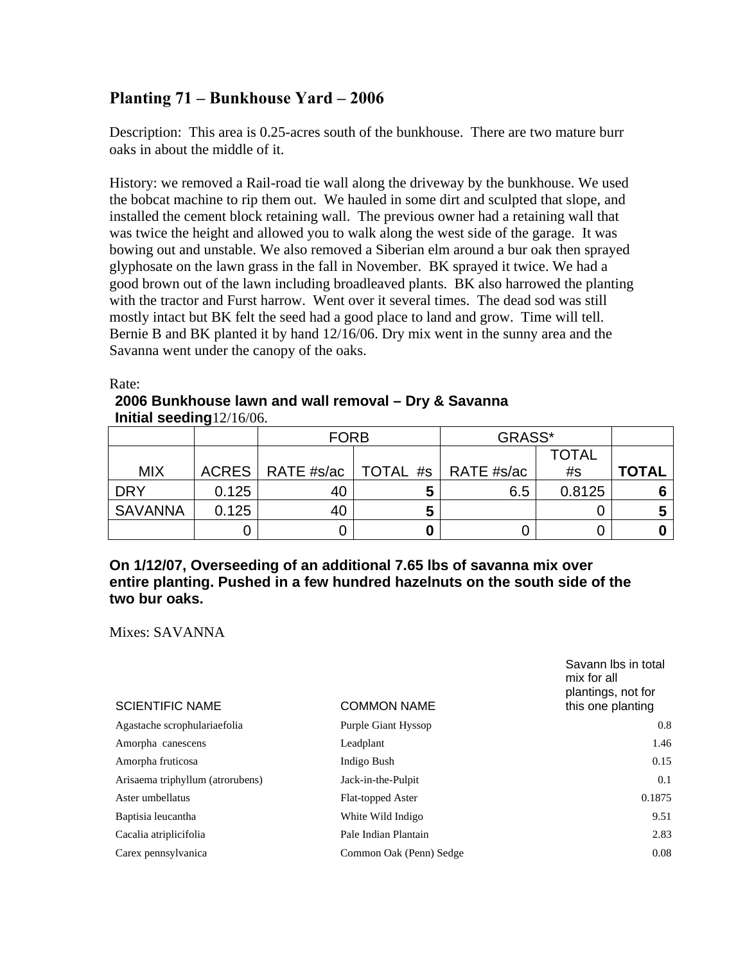## **Planting 71 – Bunkhouse Yard – 2006**

Description: This area is 0.25-acres south of the bunkhouse. There are two mature burr oaks in about the middle of it.

History: we removed a Rail-road tie wall along the driveway by the bunkhouse. We used the bobcat machine to rip them out. We hauled in some dirt and sculpted that slope, and installed the cement block retaining wall. The previous owner had a retaining wall that was twice the height and allowed you to walk along the west side of the garage. It was bowing out and unstable. We also removed a Siberian elm around a bur oak then sprayed glyphosate on the lawn grass in the fall in November. BK sprayed it twice. We had a good brown out of the lawn including broadleaved plants. BK also harrowed the planting with the tractor and Furst harrow. Went over it several times. The dead sod was still mostly intact but BK felt the seed had a good place to land and grow. Time will tell. Bernie B and BK planted it by hand 12/16/06. Dry mix went in the sunny area and the Savanna went under the canopy of the oaks.

Rate:

## **2006 Bunkhouse lawn and wall removal – Dry & Savanna Initial seeding**12/16/06.

|                |       | GRASS*<br><b>FORB</b>                      |   |     |              |              |
|----------------|-------|--------------------------------------------|---|-----|--------------|--------------|
|                |       |                                            |   |     | <b>TOTAL</b> |              |
| <b>MIX</b>     |       | ACRES   RATE #s/ac   TOTAL #s   RATE #s/ac |   |     | #s           | <b>TOTAL</b> |
| <b>DRY</b>     | 0.125 | 40                                         | 5 | 6.5 | 0.8125       |              |
| <b>SAVANNA</b> | 0.125 | 40                                         | 5 |     |              |              |
|                |       |                                            |   |     |              |              |

## **On 1/12/07, Overseeding of an additional 7.65 lbs of savanna mix over entire planting. Pushed in a few hundred hazelnuts on the south side of the two bur oaks.**

Mixes: SAVANNA

| <b>SCIENTIFIC NAME</b>           | <b>COMMON NAME</b>      | Savann Ibs in total<br>mix for all<br>plantings, not for<br>this one planting |
|----------------------------------|-------------------------|-------------------------------------------------------------------------------|
| Agastache scrophulariaefolia     | Purple Giant Hyssop     | 0.8                                                                           |
| Amorpha canescens                | Leadplant               | 1.46                                                                          |
| Amorpha fruticosa                | Indigo Bush             | 0.15                                                                          |
| Arisaema triphyllum (atrorubens) | Jack-in-the-Pulpit      | 0.1                                                                           |
| Aster umbellatus                 | Flat-topped Aster       | 0.1875                                                                        |
| Baptisia leucantha               | White Wild Indigo       | 9.51                                                                          |
| Cacalia atriplicifolia           | Pale Indian Plantain    | 2.83                                                                          |
| Carex pennsylvanica              | Common Oak (Penn) Sedge | 0.08                                                                          |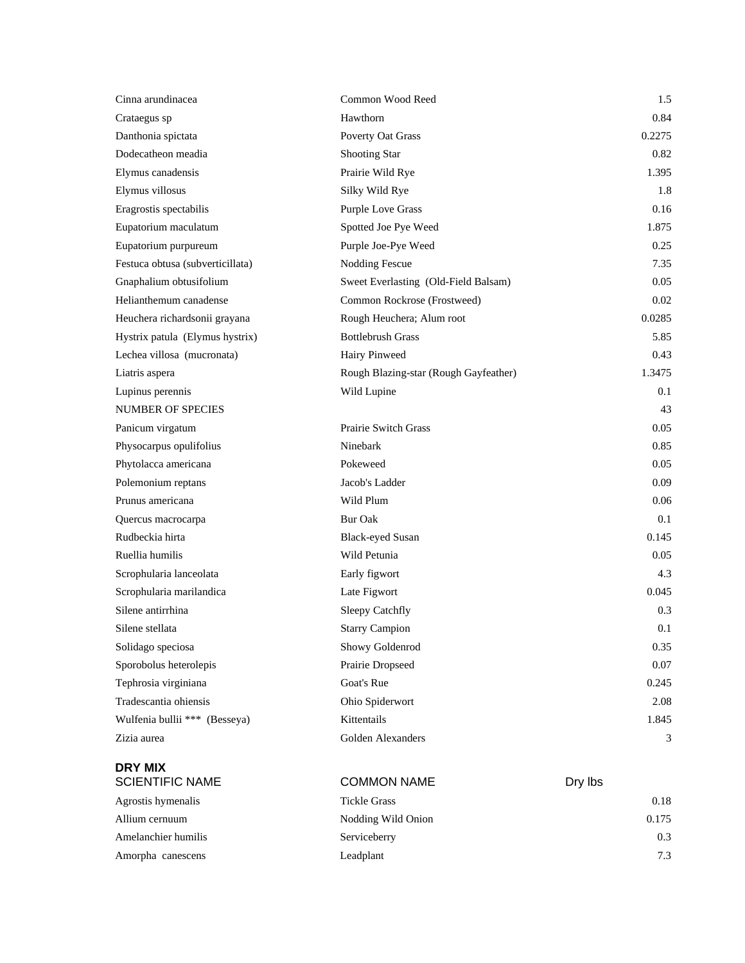| Cinna arundinacea                        | Common Wood Reed                      | 1.5     |
|------------------------------------------|---------------------------------------|---------|
| Crataegus sp                             | Hawthorn                              | 0.84    |
| Danthonia spictata                       | Poverty Oat Grass                     | 0.2275  |
| Dodecatheon meadia                       | <b>Shooting Star</b>                  | 0.82    |
| Elymus canadensis                        | Prairie Wild Rye                      | 1.395   |
| Elymus villosus                          | Silky Wild Rye                        | 1.8     |
| Eragrostis spectabilis                   | <b>Purple Love Grass</b>              | 0.16    |
| Eupatorium maculatum                     | Spotted Joe Pye Weed                  | 1.875   |
| Eupatorium purpureum                     | Purple Joe-Pye Weed                   | 0.25    |
| Festuca obtusa (subverticillata)         | <b>Nodding Fescue</b>                 | 7.35    |
| Gnaphalium obtusifolium                  | Sweet Everlasting (Old-Field Balsam)  | 0.05    |
| Helianthemum canadense                   | Common Rockrose (Frostweed)           | 0.02    |
| Heuchera richardsonii grayana            | Rough Heuchera; Alum root             | 0.0285  |
| Hystrix patula (Elymus hystrix)          | <b>Bottlebrush Grass</b>              | 5.85    |
| Lechea villosa (mucronata)               | Hairy Pinweed                         | 0.43    |
| Liatris aspera                           | Rough Blazing-star (Rough Gayfeather) | 1.3475  |
| Lupinus perennis                         | Wild Lupine                           | 0.1     |
| <b>NUMBER OF SPECIES</b>                 |                                       | 43      |
| Panicum virgatum                         | <b>Prairie Switch Grass</b>           | 0.05    |
| Physocarpus opulifolius                  | Ninebark                              | 0.85    |
| Phytolacca americana                     | Pokeweed                              | 0.05    |
| Polemonium reptans                       | Jacob's Ladder                        | 0.09    |
| Prunus americana                         | Wild Plum                             | 0.06    |
| Quercus macrocarpa                       | <b>Bur Oak</b>                        | 0.1     |
| Rudbeckia hirta                          | <b>Black-eyed Susan</b>               | 0.145   |
| Ruellia humilis                          | Wild Petunia                          | 0.05    |
| Scrophularia lanceolata                  | Early figwort                         | 4.3     |
| Scrophularia marilandica                 | Late Figwort                          | 0.045   |
| Silene antirrhina                        | Sleepy Catchfly                       | 0.3     |
| Silene stellata                          | <b>Starry Campion</b>                 | 0.1     |
| Solidago speciosa                        | Showy Goldenrod                       | 0.35    |
| Sporobolus heterolepis                   | Prairie Dropseed                      | 0.07    |
| Tephrosia virginiana                     | Goat's Rue                            | 0.245   |
| Tradescantia ohiensis                    | Ohio Spiderwort                       | 2.08    |
| Wulfenia bullii *** (Besseya)            | Kittentails                           | 1.845   |
| Zizia aurea                              | Golden Alexanders                     | 3       |
| <b>DRY MIX</b><br><b>SCIENTIFIC NAME</b> | <b>COMMON NAME</b>                    | Dry lbs |
| Agrostis hymenalis                       | <b>Tickle Grass</b>                   | 0.18    |
| Allium cernuum                           | Nodding Wild Onion                    | 0.175   |

Amelanchier humilis Serviceberry 0.3 Amorpha canescens Leadplant 1.3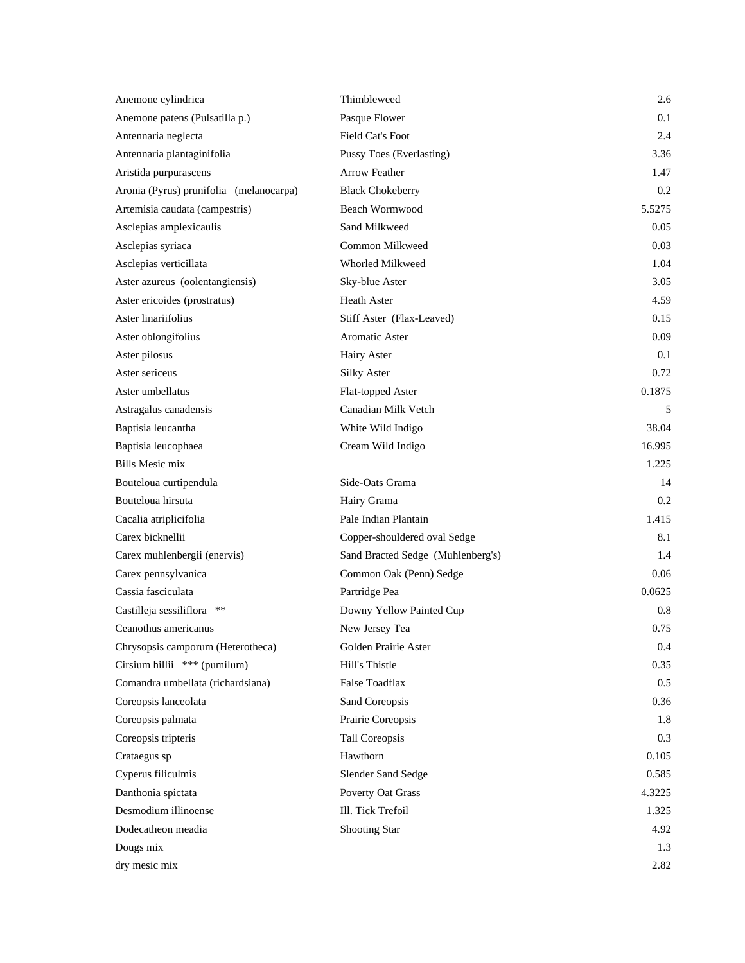| Anemone cylindrica                      | Thimbleweed                       | 2.6     |
|-----------------------------------------|-----------------------------------|---------|
| Anemone patens (Pulsatilla p.)          | Pasque Flower                     | 0.1     |
| Antennaria neglecta                     | Field Cat's Foot                  | 2.4     |
| Antennaria plantaginifolia              | Pussy Toes (Everlasting)          | 3.36    |
| Aristida purpurascens                   | <b>Arrow Feather</b>              | 1.47    |
| Aronia (Pyrus) prunifolia (melanocarpa) | <b>Black Chokeberry</b>           | 0.2     |
| Artemisia caudata (campestris)          | Beach Wormwood                    | 5.5275  |
| Asclepias amplexicaulis                 | Sand Milkweed                     | 0.05    |
| Asclepias syriaca                       | Common Milkweed                   | 0.03    |
| Asclepias verticillata                  | Whorled Milkweed                  | 1.04    |
| Aster azureus (oolentangiensis)         | Sky-blue Aster                    | 3.05    |
| Aster ericoides (prostratus)            | <b>Heath Aster</b>                | 4.59    |
| Aster linariifolius                     | Stiff Aster (Flax-Leaved)         | 0.15    |
| Aster oblongifolius                     | Aromatic Aster                    | 0.09    |
| Aster pilosus                           | Hairy Aster                       | 0.1     |
| Aster sericeus                          | <b>Silky Aster</b>                | 0.72    |
| Aster umbellatus                        | Flat-topped Aster                 | 0.1875  |
| Astragalus canadensis                   | Canadian Milk Vetch               | 5       |
| Baptisia leucantha                      | White Wild Indigo                 | 38.04   |
| Baptisia leucophaea                     | Cream Wild Indigo                 | 16.995  |
| <b>Bills Mesic mix</b>                  |                                   | 1.225   |
| Bouteloua curtipendula                  | Side-Oats Grama                   | 14      |
| Bouteloua hirsuta                       | Hairy Grama                       | 0.2     |
| Cacalia atriplicifolia                  | Pale Indian Plantain              | 1.415   |
| Carex bicknellii                        | Copper-shouldered oval Sedge      | 8.1     |
| Carex muhlenbergii (enervis)            | Sand Bracted Sedge (Muhlenberg's) | 1.4     |
| Carex pennsylvanica                     | Common Oak (Penn) Sedge           | 0.06    |
| Cassia fasciculata                      | Partridge Pea                     | 0.0625  |
| Castilleja sessiliflora<br>**           | Downy Yellow Painted Cup          | $0.8\,$ |
| Ceanothus americanus                    | New Jersey Tea                    | 0.75    |
| Chrysopsis camporum (Heterotheca)       | Golden Prairie Aster              | 0.4     |
| Cirsium hillii *** (pumilum)            | Hill's Thistle                    | 0.35    |
| Comandra umbellata (richardsiana)       | False Toadflax                    | 0.5     |
| Coreopsis lanceolata                    | Sand Coreopsis                    | 0.36    |
| Coreopsis palmata                       | Prairie Coreopsis                 | 1.8     |
| Coreopsis tripteris                     | Tall Coreopsis                    | 0.3     |
| Crataegus sp                            | Hawthorn                          | 0.105   |
| Cyperus filiculmis                      | Slender Sand Sedge                | 0.585   |
| Danthonia spictata                      | Poverty Oat Grass                 | 4.3225  |
| Desmodium illinoense                    | Ill. Tick Trefoil                 | 1.325   |
| Dodecatheon meadia                      | <b>Shooting Star</b>              | 4.92    |
| Dougs mix                               |                                   | 1.3     |
| dry mesic mix                           |                                   | 2.82    |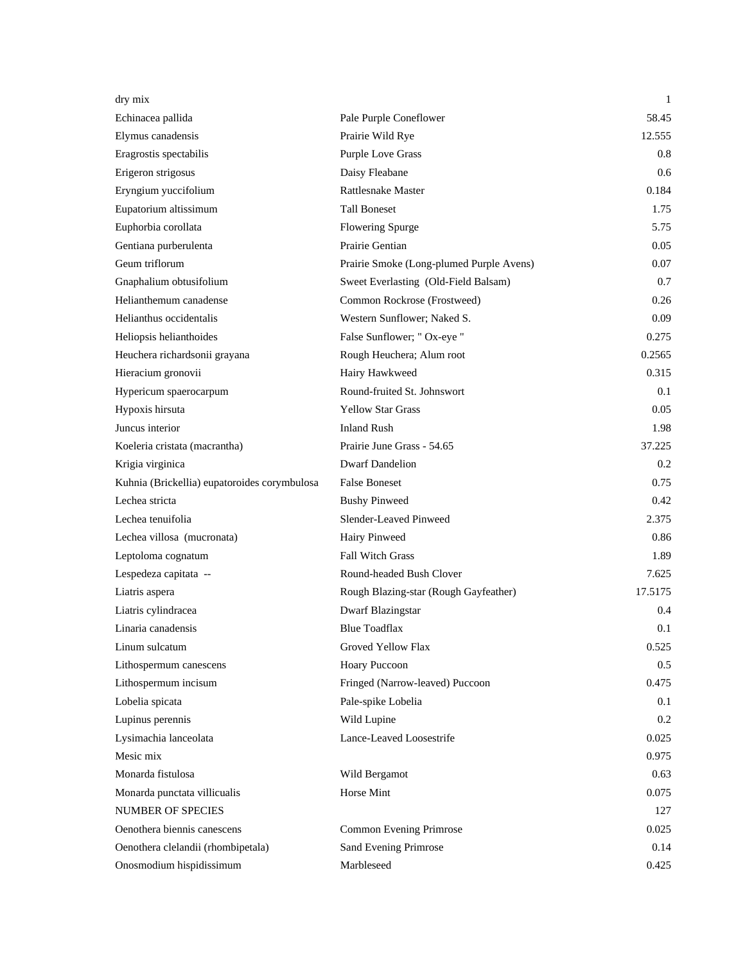| dry mix                                      |                                          | 1       |
|----------------------------------------------|------------------------------------------|---------|
| Echinacea pallida                            | Pale Purple Coneflower                   | 58.45   |
| Elymus canadensis                            | Prairie Wild Rye                         | 12.555  |
| Eragrostis spectabilis                       | <b>Purple Love Grass</b>                 | 0.8     |
| Erigeron strigosus                           | Daisy Fleabane                           | 0.6     |
| Eryngium yuccifolium                         | <b>Rattlesnake Master</b>                | 0.184   |
| Eupatorium altissimum                        | <b>Tall Boneset</b>                      | 1.75    |
| Euphorbia corollata                          | Flowering Spurge                         | 5.75    |
| Gentiana purberulenta                        | Prairie Gentian                          | 0.05    |
| Geum triflorum                               | Prairie Smoke (Long-plumed Purple Avens) | 0.07    |
| Gnaphalium obtusifolium                      | Sweet Everlasting (Old-Field Balsam)     | 0.7     |
| Helianthemum canadense                       | Common Rockrose (Frostweed)              | 0.26    |
| Helianthus occidentalis                      | Western Sunflower; Naked S.              | 0.09    |
| Heliopsis helianthoides                      | False Sunflower; " Ox-eye "              | 0.275   |
| Heuchera richardsonii grayana                | Rough Heuchera; Alum root                | 0.2565  |
| Hieracium gronovii                           | Hairy Hawkweed                           | 0.315   |
| Hypericum spaerocarpum                       | Round-fruited St. Johnswort              | 0.1     |
| Hypoxis hirsuta                              | <b>Yellow Star Grass</b>                 | 0.05    |
| Juncus interior                              | <b>Inland Rush</b>                       | 1.98    |
| Koeleria cristata (macrantha)                | Prairie June Grass - 54.65               | 37.225  |
| Krigia virginica                             | <b>Dwarf Dandelion</b>                   | 0.2     |
| Kuhnia (Brickellia) eupatoroides corymbulosa | <b>False Boneset</b>                     | 0.75    |
| Lechea stricta                               | <b>Bushy Pinweed</b>                     | 0.42    |
| Lechea tenuifolia                            | Slender-Leaved Pinweed                   | 2.375   |
| Lechea villosa (mucronata)                   | Hairy Pinweed                            | 0.86    |
| Leptoloma cognatum                           | <b>Fall Witch Grass</b>                  | 1.89    |
| Lespedeza capitata --                        | Round-headed Bush Clover                 | 7.625   |
| Liatris aspera                               | Rough Blazing-star (Rough Gayfeather)    | 17.5175 |
| Liatris cylindracea                          | Dwarf Blazingstar                        | 0.4     |
| Linaria canadensis                           | <b>Blue Toadflax</b>                     | 0.1     |
| Linum sulcatum                               | Groved Yellow Flax                       | 0.525   |
| Lithospermum canescens                       | <b>Hoary Puccoon</b>                     | 0.5     |
| Lithospermum incisum                         | Fringed (Narrow-leaved) Puccoon          | 0.475   |
| Lobelia spicata                              | Pale-spike Lobelia                       | 0.1     |
| Lupinus perennis                             | Wild Lupine                              | 0.2     |
| Lysimachia lanceolata                        | Lance-Leaved Loosestrife                 | 0.025   |
| Mesic mix                                    |                                          | 0.975   |
| Monarda fistulosa                            | Wild Bergamot                            | 0.63    |
| Monarda punctata villicualis                 | Horse Mint                               | 0.075   |
| <b>NUMBER OF SPECIES</b>                     |                                          | 127     |
| Oenothera biennis canescens                  | Common Evening Primrose                  | 0.025   |
| Oenothera clelandii (rhombipetala)           | Sand Evening Primrose                    | 0.14    |
| Onosmodium hispidissimum                     | Marbleseed                               | 0.425   |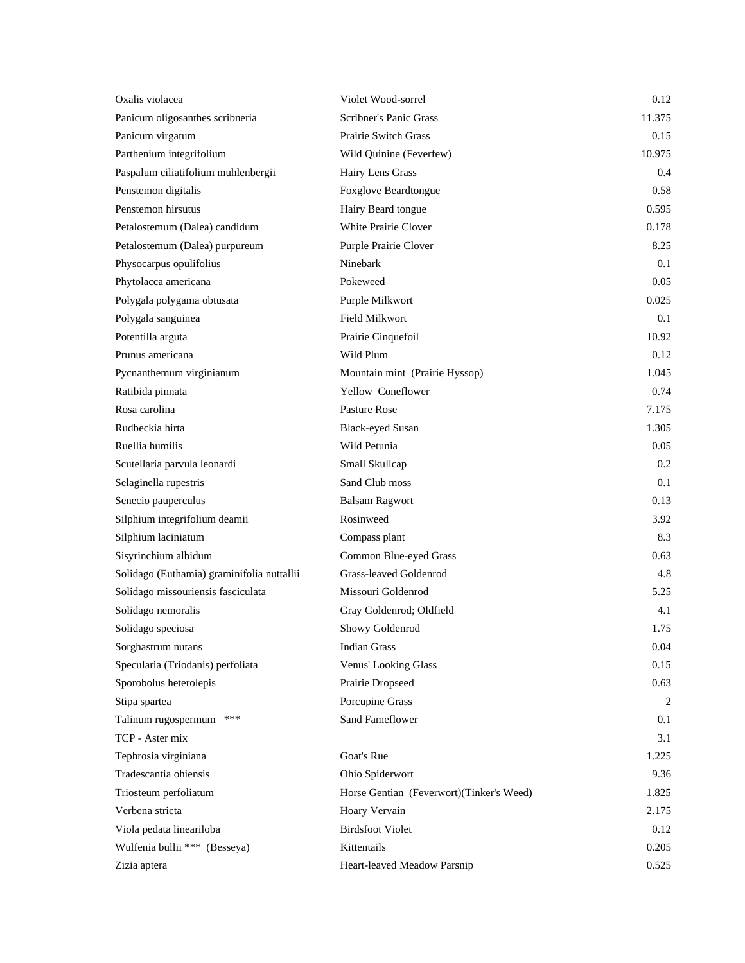| Oxalis violacea                            | Violet Wood-sorrel                       | 0.12    |
|--------------------------------------------|------------------------------------------|---------|
| Panicum oligosanthes scribneria            | Scribner's Panic Grass                   | 11.375  |
| Panicum virgatum                           | Prairie Switch Grass                     | 0.15    |
| Parthenium integrifolium                   | Wild Quinine (Feverfew)                  | 10.975  |
| Paspalum ciliatifolium muhlenbergii        | Hairy Lens Grass                         | 0.4     |
| Penstemon digitalis                        | Foxglove Beardtongue                     | 0.58    |
| Penstemon hirsutus                         | Hairy Beard tongue                       | 0.595   |
| Petalostemum (Dalea) candidum              | White Prairie Clover                     | 0.178   |
| Petalostemum (Dalea) purpureum             | Purple Prairie Clover                    | 8.25    |
| Physocarpus opulifolius                    | Ninebark                                 | 0.1     |
| Phytolacca americana                       | Pokeweed                                 | 0.05    |
| Polygala polygama obtusata                 | Purple Milkwort                          | 0.025   |
| Polygala sanguinea                         | <b>Field Milkwort</b>                    | 0.1     |
| Potentilla arguta                          | Prairie Cinquefoil                       | 10.92   |
| Prunus americana                           | Wild Plum                                | 0.12    |
| Pycnanthemum virginianum                   | Mountain mint (Prairie Hyssop)           | 1.045   |
| Ratibida pinnata                           | Yellow Coneflower                        | 0.74    |
| Rosa carolina                              | <b>Pasture Rose</b>                      | 7.175   |
| Rudbeckia hirta                            | <b>Black-eyed Susan</b>                  | 1.305   |
| Ruellia humilis                            | Wild Petunia                             | 0.05    |
| Scutellaria parvula leonardi               | Small Skullcap                           | 0.2     |
| Selaginella rupestris                      | Sand Club moss                           | 0.1     |
| Senecio pauperculus                        | <b>Balsam Ragwort</b>                    | 0.13    |
| Silphium integrifolium deamii              | Rosinweed                                | 3.92    |
| Silphium laciniatum                        | Compass plant                            | 8.3     |
| Sisyrinchium albidum                       | Common Blue-eyed Grass                   | 0.63    |
| Solidago (Euthamia) graminifolia nuttallii | Grass-leaved Goldenrod                   | 4.8     |
| Solidago missouriensis fasciculata         | Missouri Goldenrod                       | 5.25    |
| Solidago nemoralis                         | Gray Goldenrod; Oldfield                 | 4.1     |
| Solidago speciosa                          | Showy Goldenrod                          | 1.75    |
| Sorghastrum nutans                         | <b>Indian Grass</b>                      | 0.04    |
| Specularia (Triodanis) perfoliata          | Venus' Looking Glass                     | 0.15    |
| Sporobolus heterolepis                     | Prairie Dropseed                         | 0.63    |
| Stipa spartea                              | Porcupine Grass                          | 2       |
| ***<br>Talinum rugospermum                 | Sand Fameflower                          | $0.1\,$ |
| TCP - Aster mix                            |                                          | 3.1     |
| Tephrosia virginiana                       | Goat's Rue                               | 1.225   |
| Tradescantia ohiensis                      | Ohio Spiderwort                          | 9.36    |
| Triosteum perfoliatum                      | Horse Gentian (Feverwort)(Tinker's Weed) | 1.825   |
| Verbena stricta                            | Hoary Vervain                            | 2.175   |
| Viola pedata lineariloba                   | <b>Birdsfoot Violet</b>                  | 0.12    |
| Wulfenia bullii *** (Besseya)              | Kittentails                              | 0.205   |
| Zizia aptera                               | Heart-leaved Meadow Parsnip              | 0.525   |